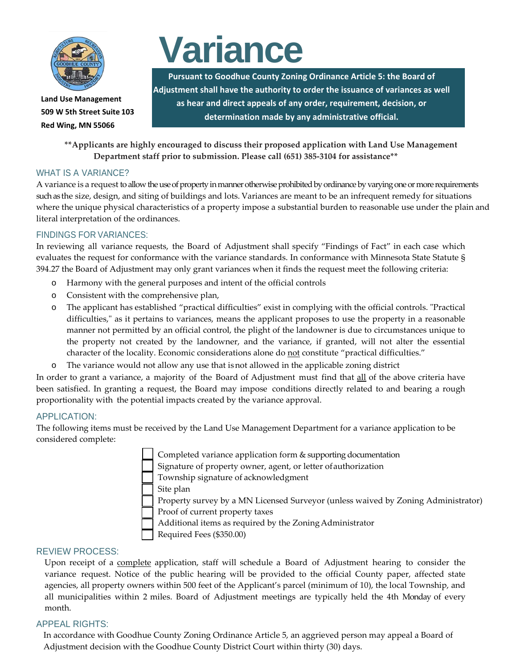

**Land Use Management 509 W 5th Street Suite 103 Red Wing, MN 55066**

# **Variance**

**Pursuant to Goodhue County Zoning Ordinance Article 5: the Board of Adjustment shall have the authority to order the issuance of variances as well as hear and direct appeals of any order, requirement, decision, or determination made by any administrative official.**

**\*\*Applicants are highly encouraged to discuss their proposed application with Land Use Management Department staff prior to submission. Please call (651) 385-3104 for assistance\*\***

# WHAT IS A VARIANCE?

A variance is a request to allow the use of property in manner otherwise prohibited by ordinance by varying one or more requirements such as the size, design, and siting of buildings and lots. Variances are meant to be an infrequent remedy for situations where the unique physical characteristics of a property impose a substantial burden to reasonable use under the plain and literal interpretation of the ordinances.

# FINDINGS FOR VARIANCES:

In reviewing all variance requests, the Board of Adjustment shall specify "Findings of Fact" in each case which evaluates the request for conformance with the variance standards. In conformance with Minnesota State Statute § 394.27 the Board of Adjustment may only grant variances when it finds the request meet the following criteria:

- o Harmony with the general purposes and intent of the official controls
- o Consistent with the comprehensive plan,
- o The applicant has established "practical difficulties" exist in complying with the official controls. "Practical difficulties," as it pertains to variances, means the applicant proposes to use the property in a reasonable manner not permitted by an official control, the plight of the landowner is due to circumstances unique to the property not created by the landowner, and the variance, if granted, will not alter the essential character of the locality. Economic considerations alone do not constitute "practical difficulties."
- o The variance would not allow any use that isnot allowed in the applicable zoning district

In order to grant a variance, a majority of the Board of Adjustment must find that all of the above criteria have been satisfied. In granting a request, the Board may impose conditions directly related to and bearing a rough proportionality with the potential impacts created by the variance approval.

# APPLICATION:

The following items must be received by the Land Use Management Department for a variance application to be considered complete:

Completed variance application form & supporting documentation

Signature of property owner, agent, or letter of authorization

Township signature of acknowledgment

Site plan

 Property survey by a MN Licensed Surveyor (unless waived by Zoning Administrator) Proof of current property taxes

Additional items as required by the ZoningAdministrator

Required Fees (\$350.00)

# REVIEW PROCESS:

Upon receipt of a complete application, staff will schedule a Board of Adjustment hearing to consider the variance request. Notice of the public hearing will be provided to the official County paper, affected state agencies, all property owners within 500 feet of the Applicant's parcel (minimum of 10), the local Township, and all municipalities within 2 miles. Board of Adjustment meetings are typically held the 4th Monday of every month.

#### APPEAL RIGHTS:

In accordance with Goodhue County Zoning Ordinance Article 5, an aggrieved person may appeal a Board of Adjustment decision with the Goodhue County District Court within thirty (30) days.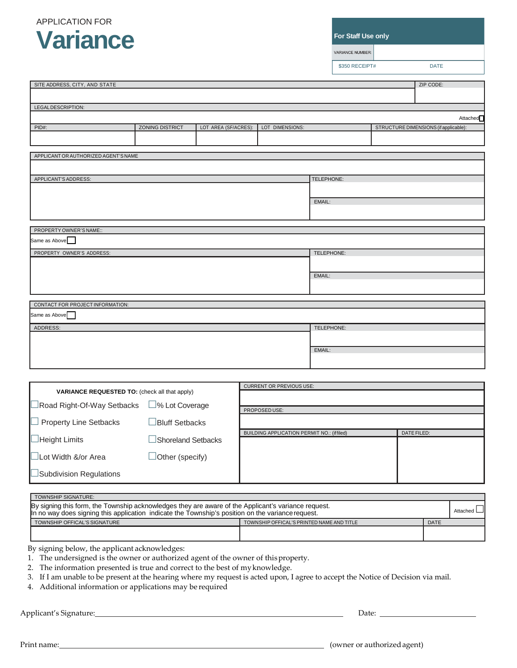# APPLICATION FOR **Variance**

**For Staff Use only**

VARIANCE NUMBER:

\$350 RECEIPT# DATE

| SITE ADDRESS, CITY, AND STATE                                                                                                                                                                            |                        |                      |                                                    |            |                                       | ZIP CODE:   |          |
|----------------------------------------------------------------------------------------------------------------------------------------------------------------------------------------------------------|------------------------|----------------------|----------------------------------------------------|------------|---------------------------------------|-------------|----------|
|                                                                                                                                                                                                          |                        |                      |                                                    |            |                                       |             |          |
| LEGALDESCRIPTION:                                                                                                                                                                                        |                        |                      |                                                    |            |                                       |             |          |
| Attached <sup></sup>                                                                                                                                                                                     |                        |                      |                                                    |            |                                       |             |          |
| PID#:                                                                                                                                                                                                    | ZONING DISTRICT        | LOT AREA (SF/ACRES): | LOT DIMENSIONS:                                    |            | STRUCTURE DIMENSIONS (if applicable): |             |          |
|                                                                                                                                                                                                          |                        |                      |                                                    |            |                                       |             |          |
| APPLICANT OR AUTHORIZED AGENT'S NAME                                                                                                                                                                     |                        |                      |                                                    |            |                                       |             |          |
|                                                                                                                                                                                                          |                        |                      |                                                    |            |                                       |             |          |
| APPLICANT'S ADDRESS:                                                                                                                                                                                     |                        |                      | TELEPHONE:                                         |            |                                       |             |          |
|                                                                                                                                                                                                          |                        |                      |                                                    |            |                                       |             |          |
|                                                                                                                                                                                                          |                        |                      |                                                    | EMAIL:     |                                       |             |          |
|                                                                                                                                                                                                          |                        |                      |                                                    |            |                                       |             |          |
|                                                                                                                                                                                                          |                        |                      |                                                    |            |                                       |             |          |
| PROPERTY OWNER'S NAME::                                                                                                                                                                                  |                        |                      |                                                    |            |                                       |             |          |
| Same as Above $\Box$                                                                                                                                                                                     |                        |                      |                                                    |            |                                       |             |          |
| PROPERTY OWNER'S ADDRESS:                                                                                                                                                                                |                        |                      |                                                    | TELEPHONE: |                                       |             |          |
|                                                                                                                                                                                                          |                        |                      |                                                    |            |                                       |             |          |
|                                                                                                                                                                                                          |                        |                      |                                                    | EMAIL:     |                                       |             |          |
|                                                                                                                                                                                                          |                        |                      |                                                    |            |                                       |             |          |
| CONTACT FOR PROJECT INFORMATION:                                                                                                                                                                         |                        |                      |                                                    |            |                                       |             |          |
| Same as Above                                                                                                                                                                                            |                        |                      |                                                    |            |                                       |             |          |
| ADDRESS:                                                                                                                                                                                                 |                        |                      |                                                    | TELEPHONE: |                                       |             |          |
|                                                                                                                                                                                                          |                        |                      |                                                    |            |                                       |             |          |
|                                                                                                                                                                                                          |                        |                      |                                                    | EMAIL:     |                                       |             |          |
|                                                                                                                                                                                                          |                        |                      |                                                    |            |                                       |             |          |
|                                                                                                                                                                                                          |                        |                      |                                                    |            |                                       |             |          |
|                                                                                                                                                                                                          |                        |                      | <b>CURRENT OR PREVIOUS USE:</b>                    |            |                                       |             |          |
| VARIANCE REQUESTED TO: (check all that apply)                                                                                                                                                            |                        |                      |                                                    |            |                                       |             |          |
| Road Right-Of-Way Setbacks                                                                                                                                                                               | □% Lot Coverage        |                      | PROPOSED USE:                                      |            |                                       |             |          |
| <b>Property Line Setbacks</b>                                                                                                                                                                            | <b>Bluff Setbacks</b>  |                      |                                                    |            |                                       |             |          |
|                                                                                                                                                                                                          |                        |                      | <b>BUILDING APPLICATION PERMIT NO.: (if filed)</b> |            |                                       | DATE FILED: |          |
| Height Limits                                                                                                                                                                                            | Shoreland Setbacks     |                      |                                                    |            |                                       |             |          |
| □Lot Width &/or Area                                                                                                                                                                                     | $\Box$ Other (specify) |                      |                                                    |            |                                       |             |          |
|                                                                                                                                                                                                          |                        |                      |                                                    |            |                                       |             |          |
| Subdivision Regulations                                                                                                                                                                                  |                        |                      |                                                    |            |                                       |             |          |
|                                                                                                                                                                                                          |                        |                      |                                                    |            |                                       |             |          |
| TOWNSHIP SIGNATURE:                                                                                                                                                                                      |                        |                      |                                                    |            |                                       |             |          |
| By signing this form, the Township acknowledges they are aware of the Applicant's variance request.<br>In no way does signing this application indicate the Township's position on the variance request. |                        |                      |                                                    |            |                                       |             | Attached |
| TOWNSHIP OFFICAL'S SIGNATURE                                                                                                                                                                             |                        |                      | TOWNSHIP OFFICAL'S PRINTED NAME AND TITLE          |            |                                       | <b>DATE</b> |          |
|                                                                                                                                                                                                          |                        |                      |                                                    |            |                                       |             |          |
| By signing below, the applicant acknowledges:                                                                                                                                                            |                        |                      |                                                    |            |                                       |             |          |
| 1. The undersigned is the owner or authorized agent of the owner of this property.                                                                                                                       |                        |                      |                                                    |            |                                       |             |          |
| 2. The information presented is true and correct to the best of my knowledge.                                                                                                                            |                        |                      |                                                    |            |                                       |             |          |
| 3. If I am unable to be present at the hearing where my request is acted upon, I agree to accept the Notice of Decision via mail.                                                                        |                        |                      |                                                    |            |                                       |             |          |

4. Additional information or applications may be required

Applicant's Signature: Date:

Print name: <u>contract a contract a contract a contract a contract a contract a contract a contract a contract a contract a contract a contract a contract a contract a contract a contract a contract a contract a contract a </u>